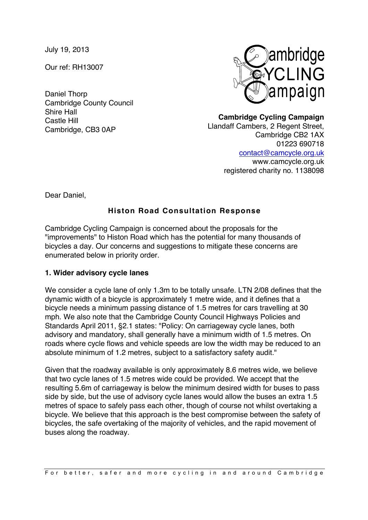July 19, 2013

Our ref: RH13007

Daniel Thorp Cambridge County Council Shire Hall Castle Hill Cambridge, CB3 0AP



**Cambridge Cycling Campaign** Llandaff Cambers, 2 Regent Street, Cambridge CB2 1AX 01223 690718 contact@camcycle.org.uk www.camcycle.org.uk registered charity no. 1138098

Dear Daniel,

# **Histon Road Consultation Response**

Cambridge Cycling Campaign is concerned about the proposals for the "improvements" to Histon Road which has the potential for many thousands of bicycles a day. Our concerns and suggestions to mitigate these concerns are enumerated below in priority order.

## **1. Wider advisory cycle lanes**

We consider a cycle lane of only 1.3m to be totally unsafe. LTN 2/08 defines that the dynamic width of a bicycle is approximately 1 metre wide, and it defines that a bicycle needs a minimum passing distance of 1.5 metres for cars travelling at 30 mph. We also note that the Cambridge County Council Highways Policies and Standards April 2011, §2.1 states: "Policy: On carriageway cycle lanes, both advisory and mandatory, shall generally have a minimum width of 1.5 metres. On roads where cycle flows and vehicle speeds are low the width may be reduced to an absolute minimum of 1.2 metres, subject to a satisfactory safety audit."

Given that the roadway available is only approximately 8.6 metres wide, we believe that two cycle lanes of 1.5 metres wide could be provided. We accept that the resulting 5.6m of carriageway is below the minimum desired width for buses to pass side by side, but the use of advisory cycle lanes would allow the buses an extra 1.5 metres of space to safely pass each other, though of course not whilst overtaking a bicycle. We believe that this approach is the best compromise between the safety of bicycles, the safe overtaking of the majority of vehicles, and the rapid movement of buses along the roadway.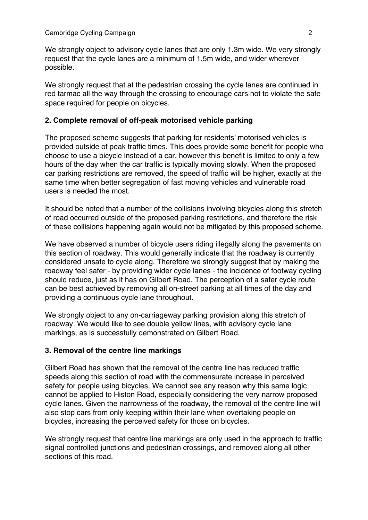We strongly object to advisory cycle lanes that are only 1.3m wide. We very strongly request that the cycle lanes are a minimum of 1.5m wide, and wider wherever possible.

We strongly request that at the pedestrian crossing the cycle lanes are continued in red tarmac all the way through the crossing to encourage cars not to violate the safe space required for people on bicycles.

#### **2. Complete removal of off-peak motorised vehicle parking**

The proposed scheme suggests that parking for residents' motorised vehicles is provided outside of peak traffic times. This does provide some benefit for people who choose to use a bicycle instead of a car, however this benefit is limited to only a few hours of the day when the car traffic is typically moving slowly. When the proposed car parking restrictions are removed, the speed of traffic will be higher, exactly at the same time when better segregation of fast moving vehicles and vulnerable road users is needed the most.

It should be noted that a number of the collisions involving bicycles along this stretch of road occurred outside of the proposed parking restrictions, and therefore the risk of these collisions happening again would not be mitigated by this proposed scheme.

We have observed a number of bicycle users riding illegally along the pavements on this section of roadway. This would generally indicate that the roadway is currently considered unsafe to cycle along. Therefore we strongly suggest that by making the roadway feel safer - by providing wider cycle lanes - the incidence of footway cycling should reduce, just as it has on Gilbert Road. The perception of a safer cycle route can be best achieved by removing all on-street parking at all times of the day and providing a continuous cycle lane throughout.

We strongly object to any on-carriageway parking provision along this stretch of roadway. We would like to see double yellow lines, with advisory cycle lane markings, as is successfully demonstrated on Gilbert Road.

#### **3. Removal of the centre line markings**

Gilbert Road has shown that the removal of the centre line has reduced traffic speeds along this section of road with the commensurate increase in perceived safety for people using bicycles. We cannot see any reason why this same logic cannot be applied to Histon Road, especially considering the very narrow proposed cycle lanes. Given the narrowness of the roadway, the removal of the centre line will also stop cars from only keeping within their lane when overtaking people on bicycles, increasing the perceived safety for those on bicycles.

We strongly request that centre line markings are only used in the approach to traffic signal controlled junctions and pedestrian crossings, and removed along all other sections of this road.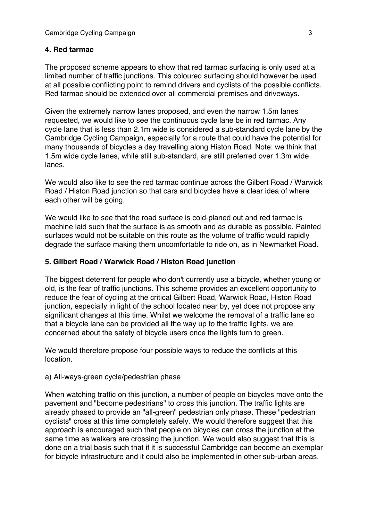## **4. Red tarmac**

The proposed scheme appears to show that red tarmac surfacing is only used at a limited number of traffic junctions. This coloured surfacing should however be used at all possible conflicting point to remind drivers and cyclists of the possible conflicts. Red tarmac should be extended over all commercial premises and driveways.

Given the extremely narrow lanes proposed, and even the narrow 1.5m lanes requested, we would like to see the continuous cycle lane be in red tarmac. Any cycle lane that is less than 2.1m wide is considered a sub-standard cycle lane by the Cambridge Cycling Campaign, especially for a route that could have the potential for many thousands of bicycles a day travelling along Histon Road. Note: we think that 1.5m wide cycle lanes, while still sub-standard, are still preferred over 1.3m wide lanes.

We would also like to see the red tarmac continue across the Gilbert Road / Warwick Road / Histon Road junction so that cars and bicycles have a clear idea of where each other will be going.

We would like to see that the road surface is cold-planed out and red tarmac is machine laid such that the surface is as smooth and as durable as possible. Painted surfaces would not be suitable on this route as the volume of traffic would rapidly degrade the surface making them uncomfortable to ride on, as in Newmarket Road.

## **5. Gilbert Road / Warwick Road / Histon Road junction**

The biggest deterrent for people who don't currently use a bicycle, whether young or old, is the fear of traffic junctions. This scheme provides an excellent opportunity to reduce the fear of cycling at the critical Gilbert Road, Warwick Road, Histon Road junction, especially in light of the school located near by, yet does not propose any significant changes at this time. Whilst we welcome the removal of a traffic lane so that a bicycle lane can be provided all the way up to the traffic lights, we are concerned about the safety of bicycle users once the lights turn to green.

We would therefore propose four possible ways to reduce the conflicts at this location.

## a) All-ways-green cycle/pedestrian phase

When watching traffic on this junction, a number of people on bicycles move onto the pavement and "become pedestrians" to cross this junction. The traffic lights are already phased to provide an "all-green" pedestrian only phase. These "pedestrian cyclists" cross at this time completely safely. We would therefore suggest that this approach is encouraged such that people on bicycles can cross the junction at the same time as walkers are crossing the junction. We would also suggest that this is done on a trial basis such that if it is successful Cambridge can become an exemplar for bicycle infrastructure and it could also be implemented in other sub-urban areas.